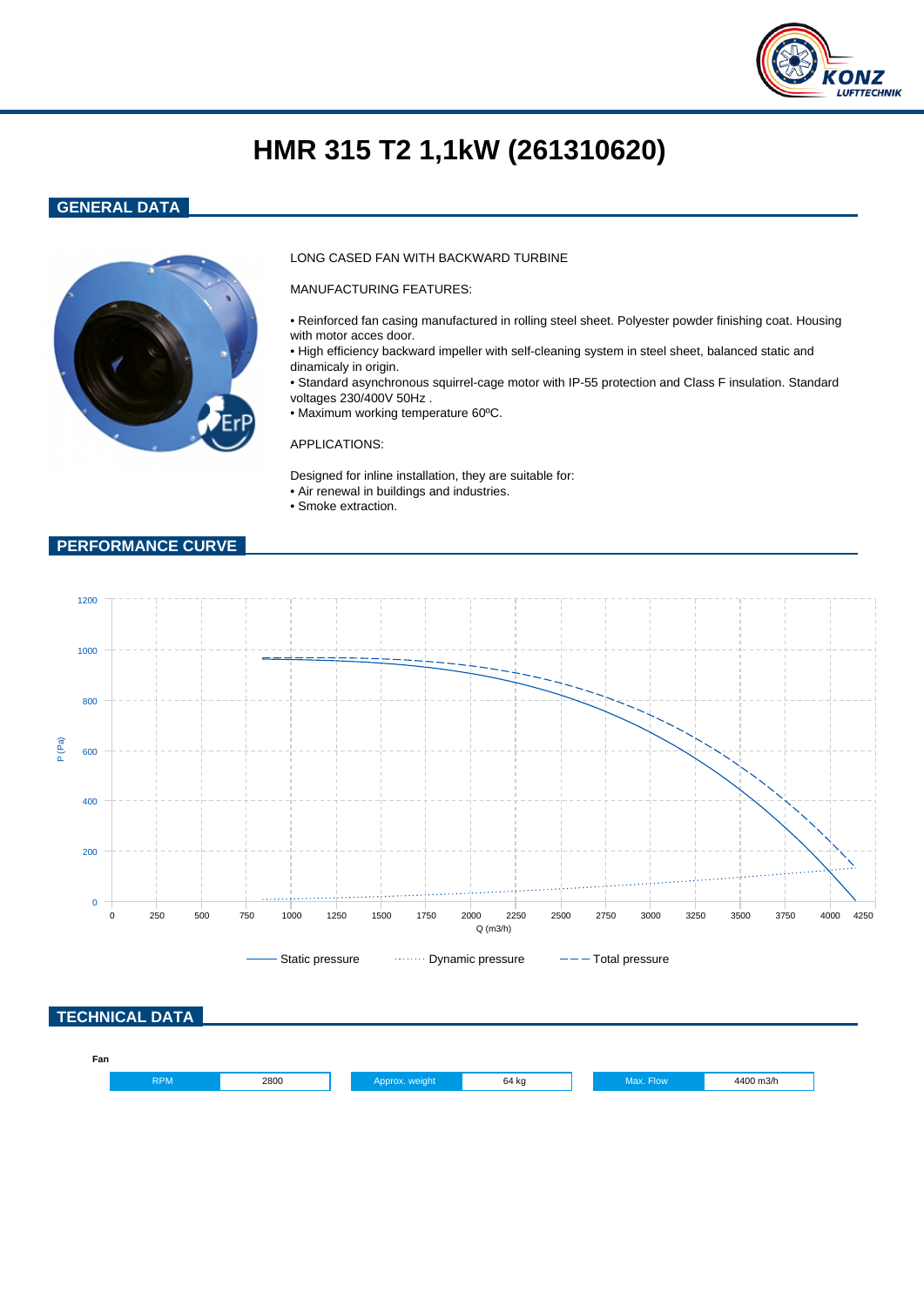

# **HMR 315 T2 1,1kW (261310620)**

### **GENERAL DATA**



#### LONG CASED FAN WITH BACKWARD TURBINE

MANUFACTURING FEATURES:

- Reinforced fan casing manufactured in rolling steel sheet. Polyester powder finishing coat. Housing with motor acces door.
- High efficiency backward impeller with self-cleaning system in steel sheet, balanced static and dinamicaly in origin.
- Standard asynchronous squirrel-cage motor with IP-55 protection and Class F insulation. Standard voltages 230/400V 50Hz .
- Maximum working temperature 60ºC.

#### APPLICATIONS:

Designed for inline installation, they are suitable for: • Air renewal in buildings and industries.

• Smoke extraction.

#### **PERFORMANCE CURVE**

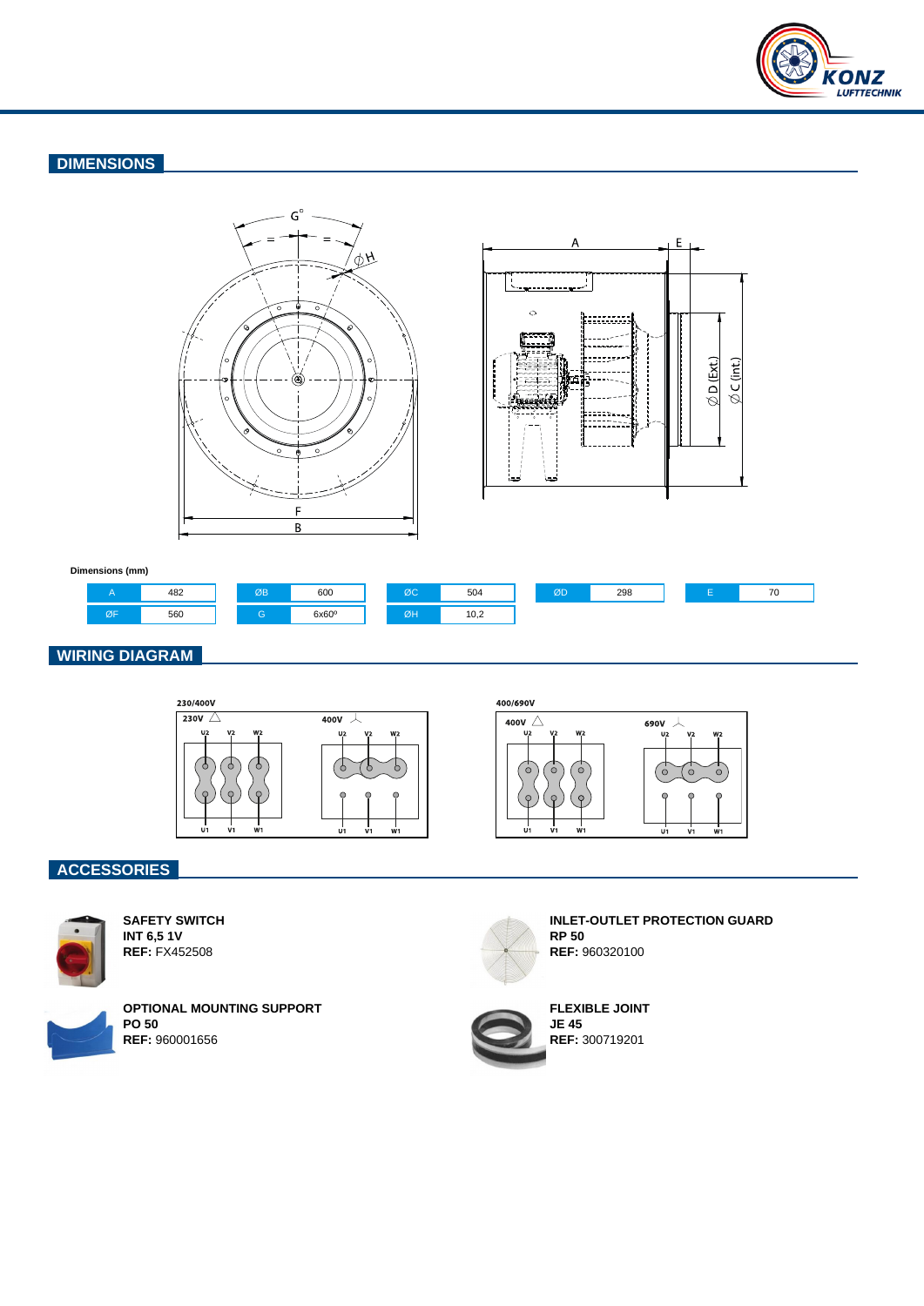

## **DIMENSIONS**





#### **Dimensions (mm)**



## **WIRING DIAGRAM**



400/690V



## **ACCESSORIES**



**SAFETY SWITCH INT 6,5 1V REF:** FX452508



**OPTIONAL MOUNTING SUPPORT PO 50 REF:** 960001656



**INLET-OUTLET PROTECTION GUARD RP 50 REF:** 960320100



**FLEXIBLE JOINT JE 45 REF:** 300719201